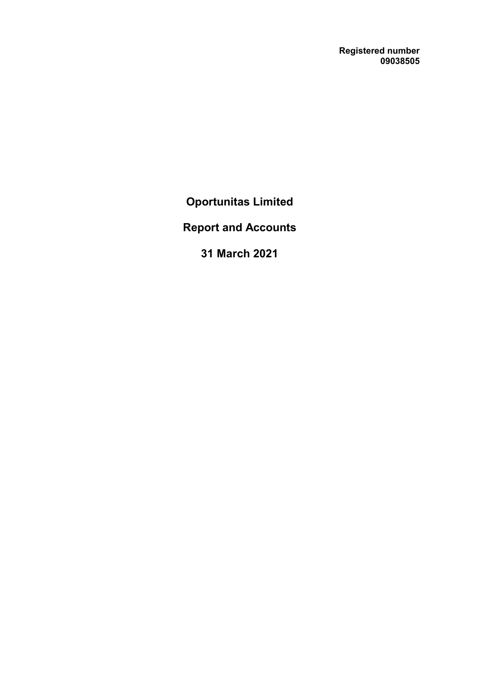Registered number 09038505

Oportunitas Limited

Report and Accounts

31 March 2021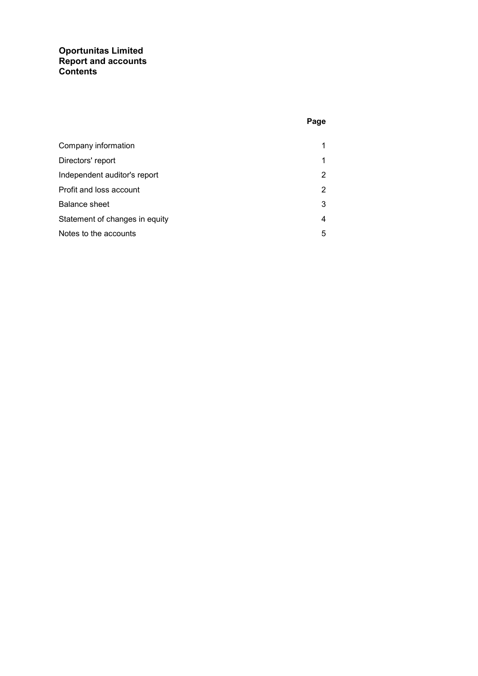## Oportunitas Limited Report and accounts **Contents**

# Page

| Company information            |   |
|--------------------------------|---|
| Directors' report              | 1 |
| Independent auditor's report   | 2 |
| Profit and loss account        | 2 |
| <b>Balance sheet</b>           | 3 |
| Statement of changes in equity | 4 |
| Notes to the accounts          | 5 |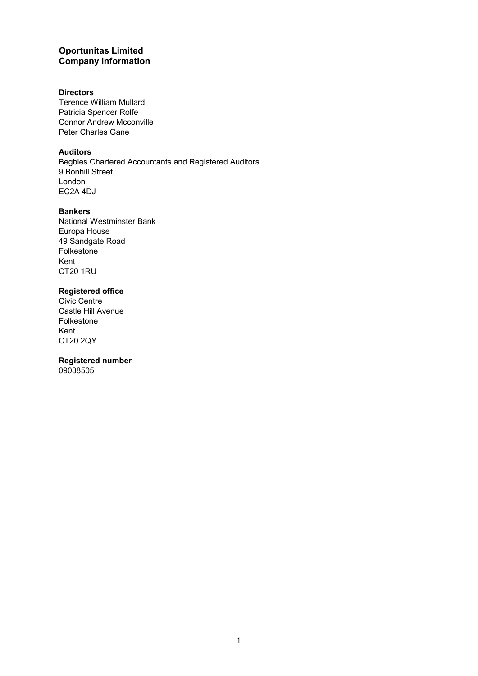## Oportunitas Limited Company Information

## **Directors**

Terence William Mullard Patricia Spencer Rolfe Connor Andrew Mcconville Peter Charles Gane

## Auditors

Begbies Chartered Accountants and Registered Auditors 9 Bonhill Street London EC2A 4DJ

## Bankers

National Westminster Bank Europa House 49 Sandgate Road Folkestone Kent CT20 1RU

## Registered office

Civic Centre Castle Hill Avenue Folkestone Kent CT20 2QY

Registered number 09038505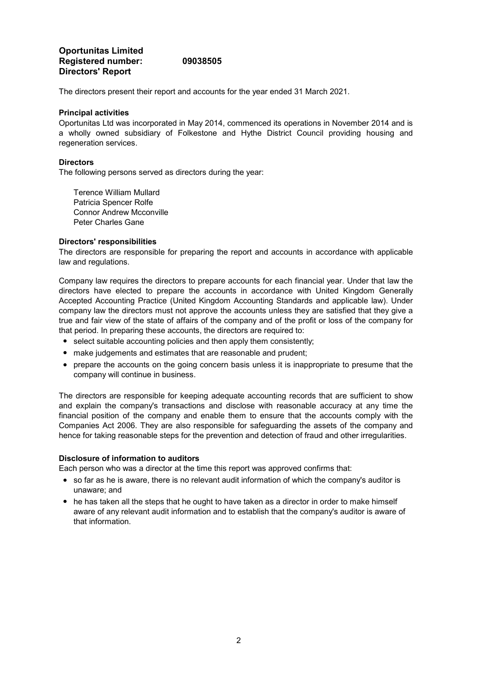Oportunitas Limited Registered number: 09038505 Directors' Report

The directors present their report and accounts for the year ended 31 March 2021.

### Principal activities

Oportunitas Ltd was incorporated in May 2014, commenced its operations in November 2014 and is a wholly owned subsidiary of Folkestone and Hythe District Council providing housing and regeneration services.

### **Directors**

The following persons served as directors during the year:

Terence William Mullard Patricia Spencer Rolfe Connor Andrew Mcconville Peter Charles Gane

## Directors' responsibilities

The directors are responsible for preparing the report and accounts in accordance with applicable law and regulations.

Company law requires the directors to prepare accounts for each financial year. Under that law the directors have elected to prepare the accounts in accordance with United Kingdom Generally Accepted Accounting Practice (United Kingdom Accounting Standards and applicable law). Under company law the directors must not approve the accounts unless they are satisfied that they give a true and fair view of the state of affairs of the company and of the profit or loss of the company for that period. In preparing these accounts, the directors are required to:

- select suitable accounting policies and then apply them consistently;
- make judgements and estimates that are reasonable and prudent;
- prepare the accounts on the going concern basis unless it is inappropriate to presume that the company will continue in business.

The directors are responsible for keeping adequate accounting records that are sufficient to show and explain the company's transactions and disclose with reasonable accuracy at any time the financial position of the company and enable them to ensure that the accounts comply with the Companies Act 2006. They are also responsible for safeguarding the assets of the company and hence for taking reasonable steps for the prevention and detection of fraud and other irregularities.

## Disclosure of information to auditors

Each person who was a director at the time this report was approved confirms that:

- so far as he is aware, there is no relevant audit information of which the company's auditor is unaware; and
- he has taken all the steps that he ought to have taken as a director in order to make himself aware of any relevant audit information and to establish that the company's auditor is aware of that information.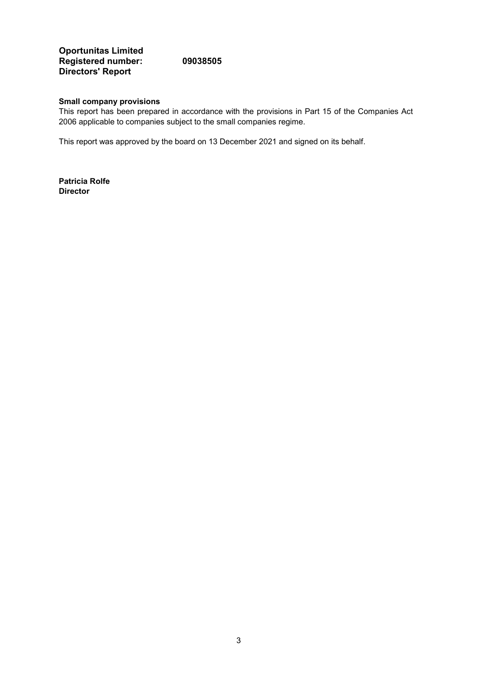Oportunitas Limited Registered number: 09038505 Directors' Report

### Small company provisions

This report has been prepared in accordance with the provisions in Part 15 of the Companies Act 2006 applicable to companies subject to the small companies regime.

This report was approved by the board on 13 December 2021 and signed on its behalf.

Patricia Rolfe Director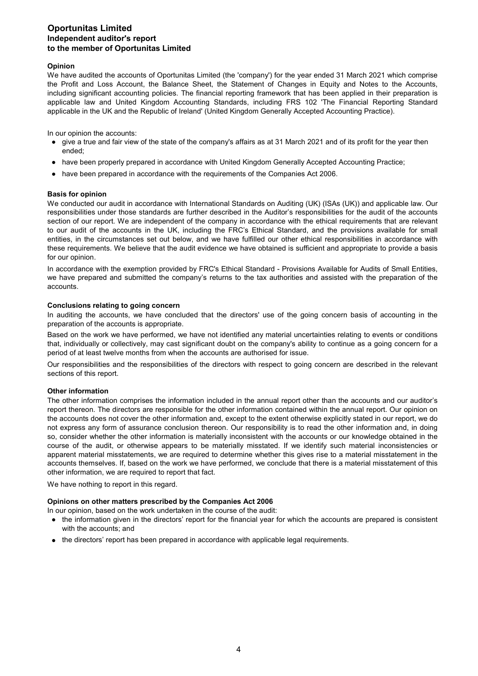## Oportunitas Limited Independent auditor's report to the member of Oportunitas Limited

#### **Opinion**

We have audited the accounts of Oportunitas Limited (the 'company') for the year ended 31 March 2021 which comprise the Profit and Loss Account, the Balance Sheet, the Statement of Changes in Equity and Notes to the Accounts, including significant accounting policies. The financial reporting framework that has been applied in their preparation is applicable law and United Kingdom Accounting Standards, including FRS 102 'The Financial Reporting Standard applicable in the UK and the Republic of Ireland' (United Kingdom Generally Accepted Accounting Practice).

In our opinion the accounts:

- give a true and fair view of the state of the company's affairs as at 31 March 2021 and of its profit for the year then ended;
- have been properly prepared in accordance with United Kingdom Generally Accepted Accounting Practice;
- have been prepared in accordance with the requirements of the Companies Act 2006.

#### Basis for opinion

We conducted our audit in accordance with International Standards on Auditing (UK) (ISAs (UK)) and applicable law. Our responsibilities under those standards are further described in the Auditor's responsibilities for the audit of the accounts section of our report. We are independent of the company in accordance with the ethical requirements that are relevant to our audit of the accounts in the UK, including the FRC's Ethical Standard, and the provisions available for small entities, in the circumstances set out below, and we have fulfilled our other ethical responsibilities in accordance with these requirements. We believe that the audit evidence we have obtained is sufficient and appropriate to provide a basis for our opinion.

In accordance with the exemption provided by FRC's Ethical Standard - Provisions Available for Audits of Small Entities, we have prepared and submitted the company's returns to the tax authorities and assisted with the preparation of the accounts.

#### Conclusions relating to going concern

In auditing the accounts, we have concluded that the directors' use of the going concern basis of accounting in the preparation of the accounts is appropriate.

Based on the work we have performed, we have not identified any material uncertainties relating to events or conditions that, individually or collectively, may cast significant doubt on the company's ability to continue as a going concern for a period of at least twelve months from when the accounts are authorised for issue.

Our responsibilities and the responsibilities of the directors with respect to going concern are described in the relevant sections of this report.

#### Other information

The other information comprises the information included in the annual report other than the accounts and our auditor's report thereon. The directors are responsible for the other information contained within the annual report. Our opinion on the accounts does not cover the other information and, except to the extent otherwise explicitly stated in our report, we do not express any form of assurance conclusion thereon. Our responsibility is to read the other information and, in doing so, consider whether the other information is materially inconsistent with the accounts or our knowledge obtained in the course of the audit, or otherwise appears to be materially misstated. If we identify such material inconsistencies or apparent material misstatements, we are required to determine whether this gives rise to a material misstatement in the accounts themselves. If, based on the work we have performed, we conclude that there is a material misstatement of this other information, we are required to report that fact.

We have nothing to report in this regard.

#### Opinions on other matters prescribed by the Companies Act 2006

In our opinion, based on the work undertaken in the course of the audit:

- the information given in the directors' report for the financial year for which the accounts are prepared is consistent with the accounts; and
- the directors' report has been prepared in accordance with applicable legal requirements.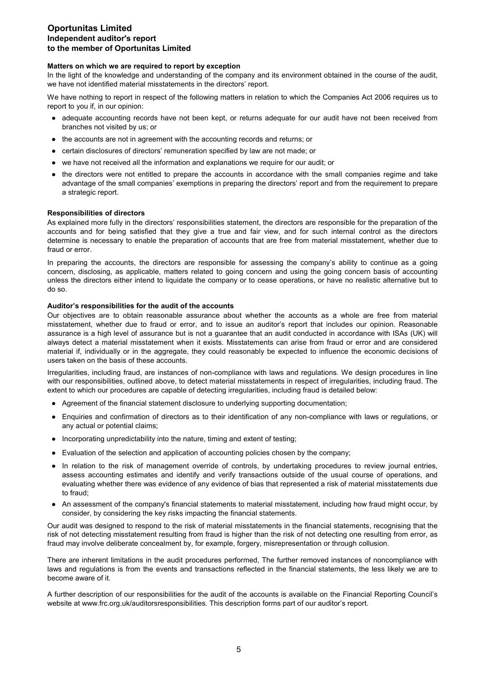## Oportunitas Limited Independent auditor's report to the member of Oportunitas Limited

#### Matters on which we are required to report by exception

In the light of the knowledge and understanding of the company and its environment obtained in the course of the audit, we have not identified material misstatements in the directors' report.

We have nothing to report in respect of the following matters in relation to which the Companies Act 2006 requires us to report to you if, in our opinion:

- adequate accounting records have not been kept, or returns adequate for our audit have not been received from branches not visited by us; or
- the accounts are not in agreement with the accounting records and returns; or
- certain disclosures of directors' remuneration specified by law are not made; or
- we have not received all the information and explanations we require for our audit; or
- the directors were not entitled to prepare the accounts in accordance with the small companies regime and take advantage of the small companies' exemptions in preparing the directors' report and from the requirement to prepare a strategic report.

#### Responsibilities of directors

As explained more fully in the directors' responsibilities statement, the directors are responsible for the preparation of the accounts and for being satisfied that they give a true and fair view, and for such internal control as the directors determine is necessary to enable the preparation of accounts that are free from material misstatement, whether due to fraud or error.

In preparing the accounts, the directors are responsible for assessing the company's ability to continue as a going concern, disclosing, as applicable, matters related to going concern and using the going concern basis of accounting unless the directors either intend to liquidate the company or to cease operations, or have no realistic alternative but to do so.

#### Auditor's responsibilities for the audit of the accounts

Our objectives are to obtain reasonable assurance about whether the accounts as a whole are free from material misstatement, whether due to fraud or error, and to issue an auditor's report that includes our opinion. Reasonable assurance is a high level of assurance but is not a guarantee that an audit conducted in accordance with ISAs (UK) will always detect a material misstatement when it exists. Misstatements can arise from fraud or error and are considered material if, individually or in the aggregate, they could reasonably be expected to influence the economic decisions of users taken on the basis of these accounts.

Irregularities, including fraud, are instances of non-compliance with laws and regulations. We design procedures in line with our responsibilities, outlined above, to detect material misstatements in respect of irregularities, including fraud. The extent to which our procedures are capable of detecting irregularities, including fraud is detailed below:

- Agreement of the financial statement disclosure to underlying supporting documentation;
- Enquiries and confirmation of directors as to their identification of any non-compliance with laws or regulations, or any actual or potential claims;
- Incorporating unpredictability into the nature, timing and extent of testing;
- Evaluation of the selection and application of accounting policies chosen by the company;
- In relation to the risk of management override of controls, by undertaking procedures to review journal entries, assess accounting estimates and identify and verify transactions outside of the usual course of operations, and evaluating whether there was evidence of any evidence of bias that represented a risk of material misstatements due to fraud;
- An assessment of the company's financial statements to material misstatement, including how fraud might occur, by consider, by considering the key risks impacting the financial statements.

Our audit was designed to respond to the risk of material misstatements in the financial statements, recognising that the risk of not detecting misstatement resulting from fraud is higher than the risk of not detecting one resulting from error, as fraud may involve deliberate concealment by, for example, forgery, misrepresentation or through collusion.

There are inherent limitations in the audit procedures performed, The further removed instances of noncompliance with laws and regulations is from the events and transactions reflected in the financial statements, the less likely we are to become aware of it.

A further description of our responsibilities for the audit of the accounts is available on the Financial Reporting Council's website at www.frc.org.uk/auditorsresponsibilities. This description forms part of our auditor's report.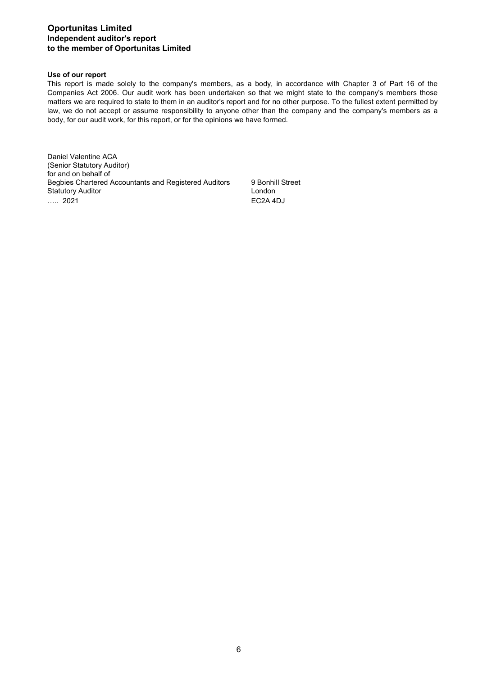## Oportunitas Limited Independent auditor's report to the member of Oportunitas Limited

#### Use of our report

This report is made solely to the company's members, as a body, in accordance with Chapter 3 of Part 16 of the Companies Act 2006. Our audit work has been undertaken so that we might state to the company's members those matters we are required to state to them in an auditor's report and for no other purpose. To the fullest extent permitted by law, we do not accept or assume responsibility to anyone other than the company and the company's members as a body, for our audit work, for this report, or for the opinions we have formed.

Daniel Valentine ACA (Senior Statutory Auditor) for and on behalf of Begbies Chartered Accountants and Registered Auditors 9 Bonhill Street<br>Statutory Auditor Statutory Auditor ….. 2021 EC2A 4DJ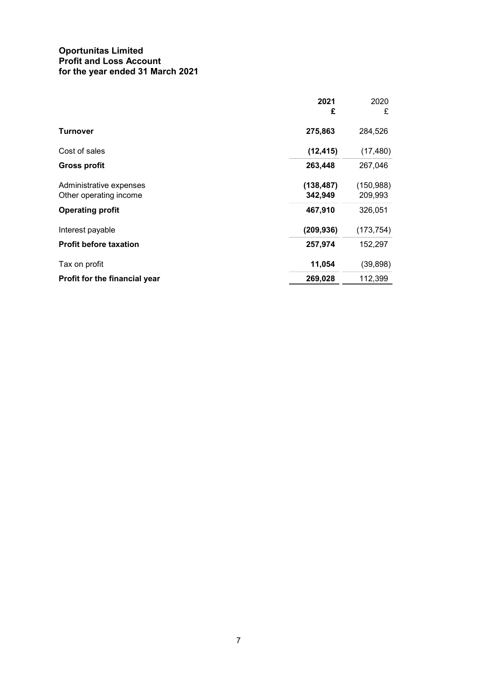## Oportunitas Limited Profit and Loss Account for the year ended 31 March 2021

|                               | 2021       | 2020       |
|-------------------------------|------------|------------|
|                               | £          | £          |
| <b>Turnover</b>               | 275,863    | 284,526    |
| Cost of sales                 | (12, 415)  | (17, 480)  |
| <b>Gross profit</b>           | 263,448    | 267,046    |
| Administrative expenses       | (138, 487) | (150, 988) |
| Other operating income        | 342,949    | 209,993    |
| <b>Operating profit</b>       | 467,910    | 326,051    |
| Interest payable              | (209, 936) | (173, 754) |
| <b>Profit before taxation</b> | 257,974    | 152,297    |
| Tax on profit                 | 11,054     | (39, 898)  |
| Profit for the financial year | 269,028    | 112,399    |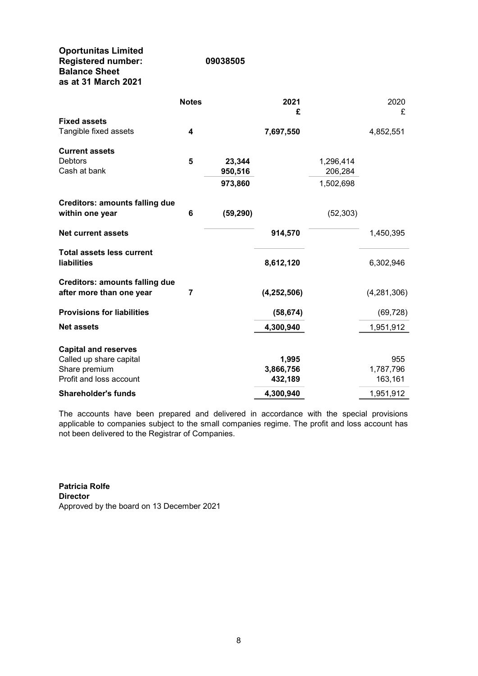| <b>Oportunitas Limited</b><br><b>Registered number:</b><br><b>Balance Sheet</b><br>as at 31 March 2021 |              | 09038505          |                               |                      |                             |
|--------------------------------------------------------------------------------------------------------|--------------|-------------------|-------------------------------|----------------------|-----------------------------|
|                                                                                                        | <b>Notes</b> |                   | 2021                          |                      | 2020                        |
| <b>Fixed assets</b>                                                                                    |              |                   | £                             |                      | £                           |
| Tangible fixed assets                                                                                  | 4            |                   | 7,697,550                     |                      | 4,852,551                   |
| <b>Current assets</b>                                                                                  |              |                   |                               |                      |                             |
| <b>Debtors</b><br>Cash at bank                                                                         | 5            | 23,344<br>950,516 |                               | 1,296,414<br>206,284 |                             |
|                                                                                                        |              | 973,860           |                               | 1,502,698            |                             |
| <b>Creditors: amounts falling due</b><br>within one year                                               | 6            | (59, 290)         |                               | (52, 303)            |                             |
| <b>Net current assets</b>                                                                              |              |                   | 914,570                       |                      | 1,450,395                   |
| <b>Total assets less current</b><br>liabilities                                                        |              |                   | 8,612,120                     |                      | 6,302,946                   |
| <b>Creditors: amounts falling due</b><br>after more than one year                                      | 7            |                   | (4, 252, 506)                 |                      | (4,281,306)                 |
| <b>Provisions for liabilities</b>                                                                      |              |                   | (58, 674)                     |                      | (69, 728)                   |
| <b>Net assets</b>                                                                                      |              |                   | 4,300,940                     |                      | 1,951,912                   |
| <b>Capital and reserves</b>                                                                            |              |                   |                               |                      |                             |
| Called up share capital<br>Share premium<br>Profit and loss account                                    |              |                   | 1,995<br>3,866,756<br>432,189 |                      | 955<br>1,787,796<br>163,161 |

Shareholder's funds 1,951,912

The accounts have been prepared and delivered in accordance with the special provisions applicable to companies subject to the small companies regime. The profit and loss account has not been delivered to the Registrar of Companies.

Patricia Rolfe Director Approved by the board on 13 December 2021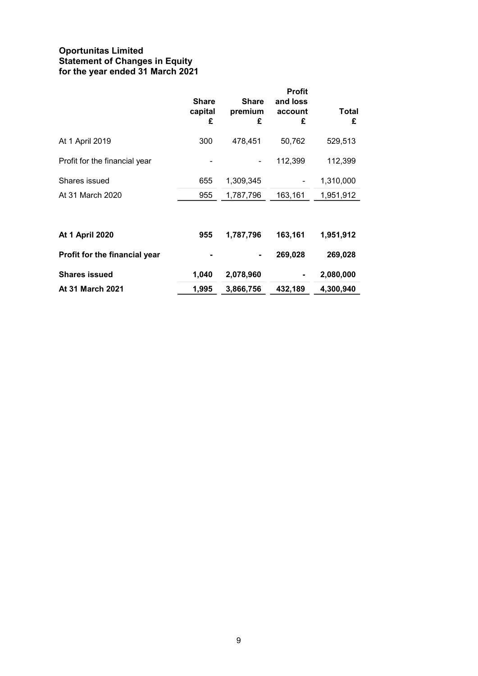## Oportunitas Limited Statement of Changes in Equity for the year ended 31 March 2021

|                               | <b>Share</b><br>capital<br>£ | <b>Share</b><br>premium<br>£ | <b>Profit</b><br>and loss<br>account<br>£ | Total<br>£ |
|-------------------------------|------------------------------|------------------------------|-------------------------------------------|------------|
| At 1 April 2019               | 300                          | 478,451                      | 50,762                                    | 529,513    |
| Profit for the financial year |                              |                              | 112,399                                   | 112,399    |
| Shares issued                 | 655                          | 1,309,345                    |                                           | 1,310,000  |
| At 31 March 2020              | 955                          | 1,787,796                    | 163,161                                   | 1,951,912  |
|                               |                              |                              |                                           |            |
| <b>At 1 April 2020</b>        | 955                          | 1,787,796                    | 163,161                                   | 1,951,912  |
| Profit for the financial year |                              |                              | 269,028                                   | 269,028    |
| <b>Shares issued</b>          | 1,040                        | 2,078,960                    | ۰                                         | 2,080,000  |
| <b>At 31 March 2021</b>       | 1,995                        | 3,866,756                    | 432,189                                   | 4,300,940  |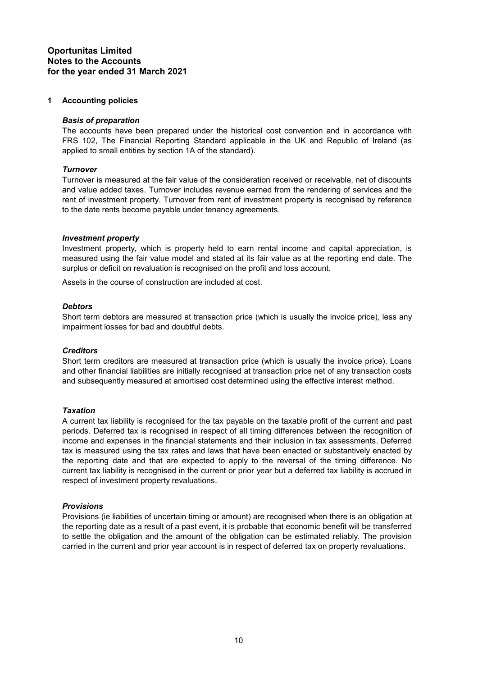## 1 Accounting policies

### Basis of preparation

The accounts have been prepared under the historical cost convention and in accordance with FRS 102, The Financial Reporting Standard applicable in the UK and Republic of Ireland (as applied to small entities by section 1A of the standard).

### **Turnover**

Turnover is measured at the fair value of the consideration received or receivable, net of discounts and value added taxes. Turnover includes revenue earned from the rendering of services and the rent of investment property. Turnover from rent of investment property is recognised by reference to the date rents become payable under tenancy agreements.

### Investment property

Investment property, which is property held to earn rental income and capital appreciation, is measured using the fair value model and stated at its fair value as at the reporting end date. The surplus or deficit on revaluation is recognised on the profit and loss account.

Assets in the course of construction are included at cost.

### **Debtors**

Short term debtors are measured at transaction price (which is usually the invoice price), less any impairment losses for bad and doubtful debts.

## **Creditors**

Short term creditors are measured at transaction price (which is usually the invoice price). Loans and other financial liabilities are initially recognised at transaction price net of any transaction costs and subsequently measured at amortised cost determined using the effective interest method.

## Taxation

A current tax liability is recognised for the tax payable on the taxable profit of the current and past periods. Deferred tax is recognised in respect of all timing differences between the recognition of income and expenses in the financial statements and their inclusion in tax assessments. Deferred tax is measured using the tax rates and laws that have been enacted or substantively enacted by the reporting date and that are expected to apply to the reversal of the timing difference. No current tax liability is recognised in the current or prior year but a deferred tax liability is accrued in respect of investment property revaluations.

## Provisions

Provisions (ie liabilities of uncertain timing or amount) are recognised when there is an obligation at the reporting date as a result of a past event, it is probable that economic benefit will be transferred to settle the obligation and the amount of the obligation can be estimated reliably. The provision carried in the current and prior year account is in respect of deferred tax on property revaluations.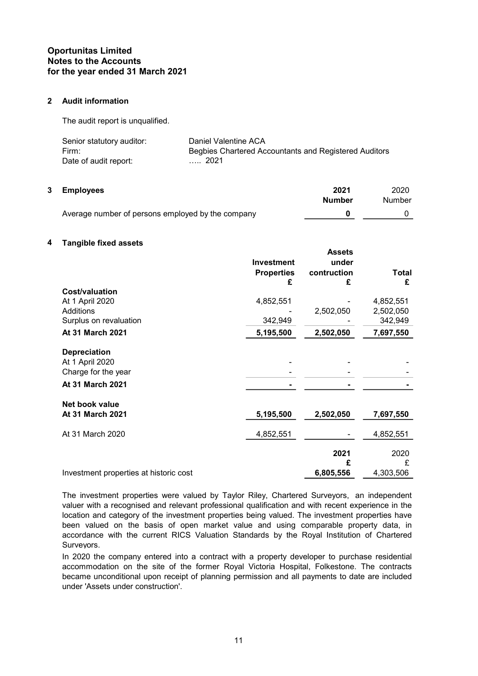### 2 Audit information

The audit report is unqualified.

| Senior statutory auditor: | Daniel Valentine ACA                                  |
|---------------------------|-------------------------------------------------------|
| Firm:                     | Begbies Chartered Accountants and Registered Auditors |
| Date of audit report:     | …… 2021                                               |

# 3 Employees 2021 2020 Number Number Average number of persons employed by the company 0 0

### 4 Tangible fixed assets

|                                        | <b>Investment</b> | <b>Assets</b><br>under |                      |
|----------------------------------------|-------------------|------------------------|----------------------|
|                                        | <b>Properties</b> | contruction            | <b>Total</b>         |
|                                        | £                 | £                      | £                    |
| Cost/valuation                         |                   |                        |                      |
| At 1 April 2020<br>Additions           | 4,852,551         | 2,502,050              | 4,852,551            |
| Surplus on revaluation                 | 342,949           |                        | 2,502,050<br>342,949 |
| At 31 March 2021                       | 5,195,500         | 2,502,050              | 7,697,550            |
|                                        |                   |                        |                      |
| <b>Depreciation</b>                    |                   |                        |                      |
| At 1 April 2020                        |                   |                        |                      |
| Charge for the year                    |                   |                        |                      |
| At 31 March 2021                       |                   |                        |                      |
| Net book value                         |                   |                        |                      |
| At 31 March 2021                       | 5,195,500         | 2,502,050              | 7,697,550            |
| At 31 March 2020                       | 4,852,551         |                        | 4,852,551            |
|                                        |                   | 2021                   | 2020                 |
|                                        |                   | £                      | £                    |
| Investment properties at historic cost |                   | 6,805,556              | 4,303,506            |

The investment properties were valued by Taylor Riley, Chartered Surveyors, an independent valuer with a recognised and relevant professional qualification and with recent experience in the location and category of the investment properties being valued. The investment properties have been valued on the basis of open market value and using comparable property data, in accordance with the current RICS Valuation Standards by the Royal Institution of Chartered Surveyors.

In 2020 the company entered into a contract with a property developer to purchase residential accommodation on the site of the former Royal Victoria Hospital, Folkestone. The contracts became unconditional upon receipt of planning permission and all payments to date are included under 'Assets under construction'.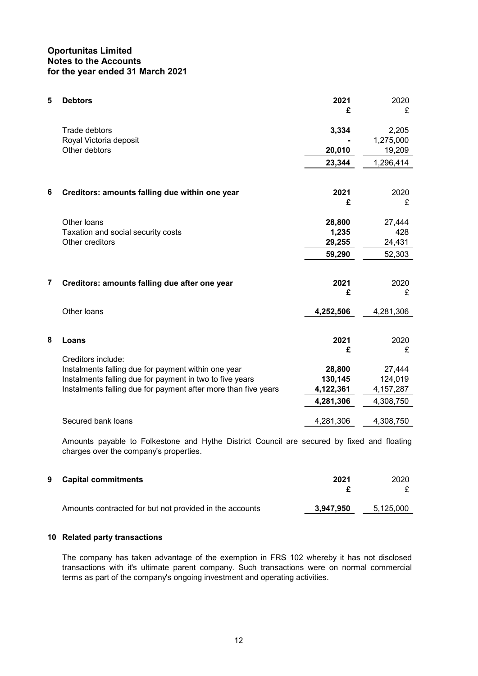| 5              | <b>Debtors</b>                                                                                                                                                                                          | 2021<br>£                      | 2020<br>£                        |
|----------------|---------------------------------------------------------------------------------------------------------------------------------------------------------------------------------------------------------|--------------------------------|----------------------------------|
|                | Trade debtors<br>Royal Victoria deposit<br>Other debtors                                                                                                                                                | 3,334<br>20,010                | 2,205<br>1,275,000<br>19,209     |
|                |                                                                                                                                                                                                         | 23,344                         | 1,296,414                        |
|                |                                                                                                                                                                                                         |                                |                                  |
| 6              | Creditors: amounts falling due within one year                                                                                                                                                          | 2021<br>£                      | 2020<br>£                        |
|                | Other loans                                                                                                                                                                                             | 28,800                         | 27,444                           |
|                | Taxation and social security costs                                                                                                                                                                      | 1,235                          | 428                              |
|                | Other creditors                                                                                                                                                                                         | 29,255                         | 24,431                           |
|                |                                                                                                                                                                                                         | 59,290                         | 52,303                           |
|                |                                                                                                                                                                                                         |                                |                                  |
| $\overline{7}$ | Creditors: amounts falling due after one year                                                                                                                                                           | 2021                           | 2020                             |
|                |                                                                                                                                                                                                         | £                              | £                                |
|                | Other loans                                                                                                                                                                                             | 4,252,506                      | 4,281,306                        |
|                |                                                                                                                                                                                                         |                                |                                  |
| 8              | Loans                                                                                                                                                                                                   | 2021                           | 2020                             |
|                |                                                                                                                                                                                                         | £                              | £                                |
|                | Creditors include:<br>Instalments falling due for payment within one year<br>Instalments falling due for payment in two to five years<br>Instalments falling due for payment after more than five years | 28,800<br>130,145<br>4,122,361 | 27,444<br>124,019<br>4, 157, 287 |
|                |                                                                                                                                                                                                         | 4,281,306                      | 4,308,750                        |
|                | Secured bank loans                                                                                                                                                                                      | 4,281,306                      | 4,308,750                        |

Amounts payable to Folkestone and Hythe District Council are secured by fixed and floating charges over the company's properties.

| 9 | <b>Capital commitments</b>                              | 2021      | 2020      |
|---|---------------------------------------------------------|-----------|-----------|
|   | Amounts contracted for but not provided in the accounts | 3,947,950 | 5,125,000 |

## 10 Related party transactions

The company has taken advantage of the exemption in FRS 102 whereby it has not disclosed transactions with it's ultimate parent company. Such transactions were on normal commercial terms as part of the company's ongoing investment and operating activities.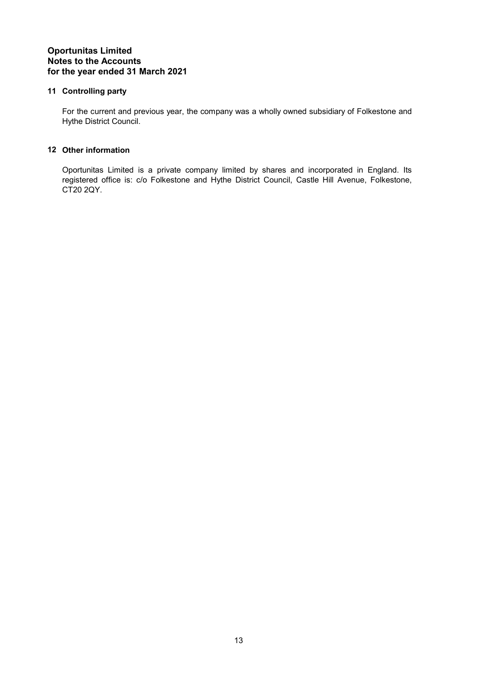## 11 Controlling party

For the current and previous year, the company was a wholly owned subsidiary of Folkestone and Hythe District Council.

## 12 Other information

Oportunitas Limited is a private company limited by shares and incorporated in England. Its registered office is: c/o Folkestone and Hythe District Council, Castle Hill Avenue, Folkestone, CT20 2QY.